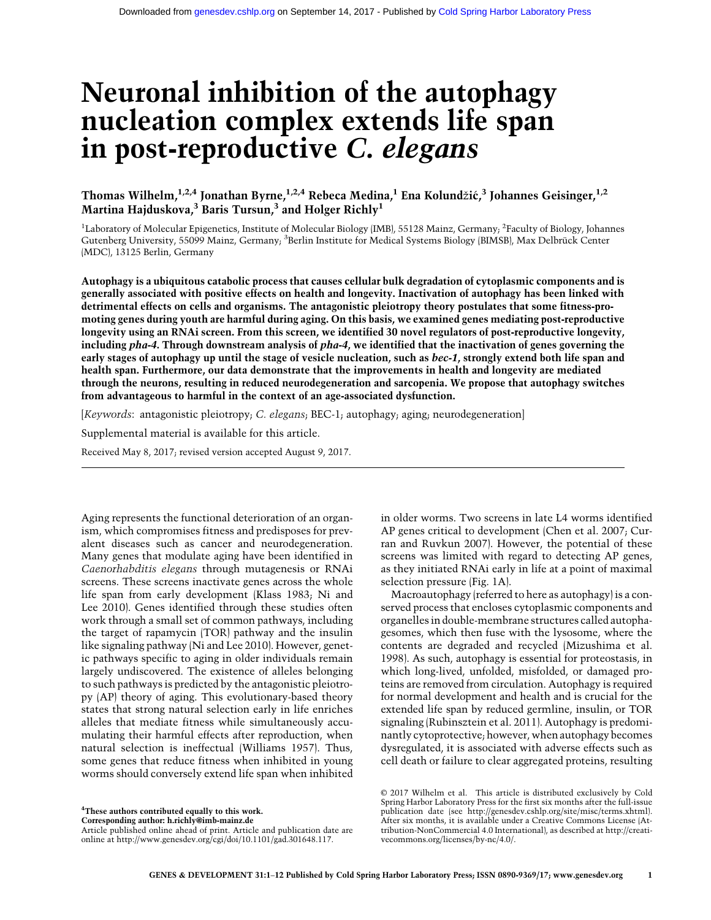# Neuronal inhibition of the autophagy nucleation complex extends life span in post-reproductive C. elegans

Thomas Wilhelm, $^{1,2,4}$  Jonathan Byrne, $^{1,2,4}$  Rebeca Medina, $^1$  Ena Kolundžić, $^3$  Johannes Geisinger, $^{1,2}$ Martina Hajduskova, $^3$  Baris Tursun, $^3$  and Holger Richly $^1$ 

<sup>1</sup>Laboratory of Molecular Epigenetics, Institute of Molecular Biology (IMB), 55128 Mainz, Germany; <sup>2</sup>Faculty of Biology, Johannes Gutenberg University, 55099 Mainz, Germany; <sup>3</sup>Berlin Institute for Medical Systems Biology (BIMSB), Max Delbrück Center (MDC), 13125 Berlin, Germany

Autophagy is a ubiquitous catabolic process that causes cellular bulk degradation of cytoplasmic components and is generally associated with positive effects on health and longevity. Inactivation of autophagy has been linked with detrimental effects on cells and organisms. The antagonistic pleiotropy theory postulates that some fitness-promoting genes during youth are harmful during aging. On this basis, we examined genes mediating post-reproductive longevity using an RNAi screen. From this screen, we identified 30 novel regulators of post-reproductive longevity, including pha-4. Through downstream analysis of pha-4, we identified that the inactivation of genes governing the early stages of autophagy up until the stage of vesicle nucleation, such as bec-1, strongly extend both life span and health span. Furthermore, our data demonstrate that the improvements in health and longevity are mediated through the neurons, resulting in reduced neurodegeneration and sarcopenia. We propose that autophagy switches from advantageous to harmful in the context of an age-associated dysfunction.

[Keywords: antagonistic pleiotropy; C. elegans; BEC-1; autophagy; aging; neurodegeneration]

Supplemental material is available for this article.

Received May 8, 2017; revised version accepted August 9, 2017.

Aging represents the functional deterioration of an organism, which compromises fitness and predisposes for prevalent diseases such as cancer and neurodegeneration. Many genes that modulate aging have been identified in Caenorhabditis elegans through mutagenesis or RNAi screens. These screens inactivate genes across the whole life span from early development (Klass 1983; Ni and Lee 2010). Genes identified through these studies often work through a small set of common pathways, including the target of rapamycin (TOR) pathway and the insulin like signaling pathway (Ni and Lee 2010). However, genetic pathways specific to aging in older individuals remain largely undiscovered. The existence of alleles belonging to such pathways is predicted by the antagonistic pleiotropy (AP) theory of aging. This evolutionary-based theory states that strong natural selection early in life enriches alleles that mediate fitness while simultaneously accumulating their harmful effects after reproduction, when natural selection is ineffectual (Williams 1957). Thus, some genes that reduce fitness when inhibited in young worms should conversely extend life span when inhibited

<sup>4</sup>These authors contributed equally to this work.

Corresponding author: [h.richly@imb-mainz.de](mailto:h.richly@imb-mainz.de) Article published online ahead of print. Article and publication date are online at [http://www.genesdev.org/cgi/doi/10.1101/gad.301648.117.](http://www.genesdev.org/cgi/doi/10.1101/gad.301648.117)

in older worms. Two screens in late L4 worms identified AP genes critical to development (Chen et al. 2007; Curran and Ruvkun 2007). However, the potential of these screens was limited with regard to detecting AP genes, as they initiated RNAi early in life at a point of maximal selection pressure (Fig. 1A).

Macroautophagy (referred to here as autophagy) is a conserved process that encloses cytoplasmic components and organelles in double-membrane structures called autophagesomes, which then fuse with the lysosome, where the contents are degraded and recycled (Mizushima et al. 1998). As such, autophagy is essential for proteostasis, in which long-lived, unfolded, misfolded, or damaged proteins are removed from circulation. Autophagy is required for normal development and health and is crucial for the extended life span by reduced germline, insulin, or TOR signaling (Rubinsztein et al. 2011). Autophagy is predominantly cytoprotective; however, when autophagy becomes dysregulated, it is associated with adverse effects such as cell death or failure to clear aggregated proteins, resulting

[© 2017 Wilhelm et al.](http://genesdev.cshlp.org/site/misc/terms.xhtml) This article is distributed exclusively by Cold Spring Harbor Laboratory Press for the first six months after the full-issue publication date (see<http://genesdev.cshlp.org/site/misc/terms.xhtml>). After six months, it is available under a Creative Commons License (Attribution-NonCommercial 4.0 International), as described at [http://creati](http://creativecommons.org/licenses/by-nc/4.0/)[vecommons.org/licenses/by-nc/4.0/.](http://creativecommons.org/licenses/by-nc/4.0/)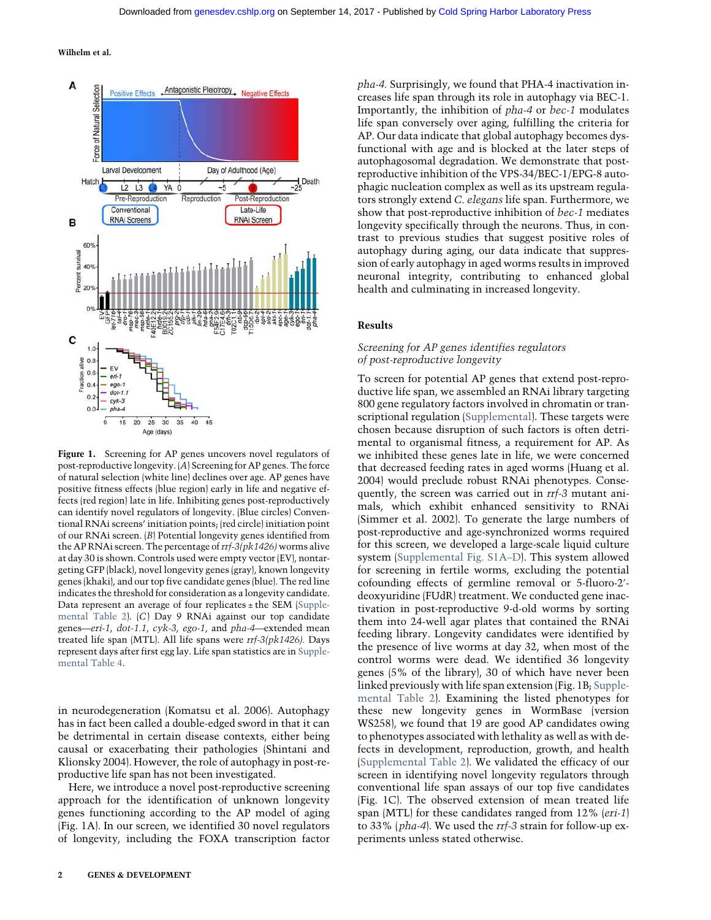

Figure 1. Screening for AP genes uncovers novel regulators of post-reproductive longevity. (A) Screening for AP genes. The force of natural selection (white line) declines over age. AP genes have positive fitness effects (blue region) early in life and negative effects (red region) late in life. Inhibiting genes post-reproductively can identify novel regulators of longevity. (Blue circles) Conventional RNAi screens' initiation points; (red circle) initiation point of our RNAi screen. (B) Potential longevity genes identified from the AP RNAi screen. The percentage of  $rrf$ -3( $pk1426$ ) worms alive at day 30 is shown. Controls used were empty vector (EV), nontargeting GFP (black), novel longevity genes (gray), known longevity genes (khaki), and our top five candidate genes (blue). The red line indicates the threshold for consideration as a longevity candidate. Data represent an average of four replicates  $\pm$  the SEM ([Supple](http://genesdev.cshlp.org/lookup/suppl/doi:10.1101/gad.301648.117/-/DC1)[mental Table 2](http://genesdev.cshlp.org/lookup/suppl/doi:10.1101/gad.301648.117/-/DC1)). (C) Day 9 RNAi against our top candidate genes—eri-1, dot-1.1, cyk-3, ego-1, and pha-4—extended mean treated life span (MTL). All life spans were rrf-3(pk1426). Days represent days after first egg lay. Life span statistics are in [Supple](http://genesdev.cshlp.org/lookup/suppl/doi:10.1101/gad.301648.117/-/DC1)[mental Table 4](http://genesdev.cshlp.org/lookup/suppl/doi:10.1101/gad.301648.117/-/DC1).

in neurodegeneration (Komatsu et al. 2006). Autophagy has in fact been called a double-edged sword in that it can be detrimental in certain disease contexts, either being causal or exacerbating their pathologies (Shintani and Klionsky 2004). However, the role of autophagy in post-reproductive life span has not been investigated.

Here, we introduce a novel post-reproductive screening approach for the identification of unknown longevity genes functioning according to the AP model of aging (Fig. 1A). In our screen, we identified 30 novel regulators of longevity, including the FOXA transcription factor pha-4. Surprisingly, we found that PHA-4 inactivation increases life span through its role in autophagy via BEC-1. Importantly, the inhibition of pha-4 or bec-1 modulates life span conversely over aging, fulfilling the criteria for AP. Our data indicate that global autophagy becomes dysfunctional with age and is blocked at the later steps of autophagosomal degradation. We demonstrate that postreproductive inhibition of the VPS-34/BEC-1/EPG-8 autophagic nucleation complex as well as its upstream regulators strongly extend C. elegans life span. Furthermore, we show that post-reproductive inhibition of bec-1 mediates longevity specifically through the neurons. Thus, in contrast to previous studies that suggest positive roles of autophagy during aging, our data indicate that suppression of early autophagy in aged worms results in improved neuronal integrity, contributing to enhanced global health and culminating in increased longevity.

## Results

## Screening for AP genes identifies regulators of post-reproductive longevity

To screen for potential AP genes that extend post-reproductive life span, we assembled an RNAi library targeting 800 gene regulatory factors involved in chromatin or transcriptional regulation ([Supplemental\)](http://genesdev.cshlp.org/lookup/suppl/doi:10.1101/gad.301648.117/-/DC1). These targets were chosen because disruption of such factors is often detrimental to organismal fitness, a requirement for AP. As we inhibited these genes late in life, we were concerned that decreased feeding rates in aged worms (Huang et al. 2004) would preclude robust RNAi phenotypes. Consequently, the screen was carried out in rrf-3 mutant animals, which exhibit enhanced sensitivity to RNAi (Simmer et al. 2002). To generate the large numbers of post-reproductive and age-synchronized worms required for this screen, we developed a large-scale liquid culture system [\(Supplemental Fig. S1A](http://genesdev.cshlp.org/lookup/suppl/doi:10.1101/gad.301648.117/-/DC1)–D). This system allowed for screening in fertile worms, excluding the potential cofounding effects of germline removal or 5-fluoro-2′ deoxyuridine (FUdR) treatment. We conducted gene inactivation in post-reproductive 9-d-old worms by sorting them into 24-well agar plates that contained the RNAi feeding library. Longevity candidates were identified by the presence of live worms at day 32, when most of the control worms were dead. We identified 36 longevity genes (5% of the library), 30 of which have never been linked previously with life span extension (Fig. 1B; [Supple](http://genesdev.cshlp.org/lookup/suppl/doi:10.1101/gad.301648.117/-/DC1)[mental Table 2\)](http://genesdev.cshlp.org/lookup/suppl/doi:10.1101/gad.301648.117/-/DC1). Examining the listed phenotypes for these new longevity genes in WormBase (version WS258), we found that 19 are good AP candidates owing to phenotypes associated with lethality as well as with defects in development, reproduction, growth, and health [\(Supplemental Table 2\)](http://genesdev.cshlp.org/lookup/suppl/doi:10.1101/gad.301648.117/-/DC1). We validated the efficacy of our screen in identifying novel longevity regulators through conventional life span assays of our top five candidates (Fig. 1C). The observed extension of mean treated life span (MTL) for these candidates ranged from 12% (eri-1) to 33% (pha-4). We used the rrf-3 strain for follow-up experiments unless stated otherwise.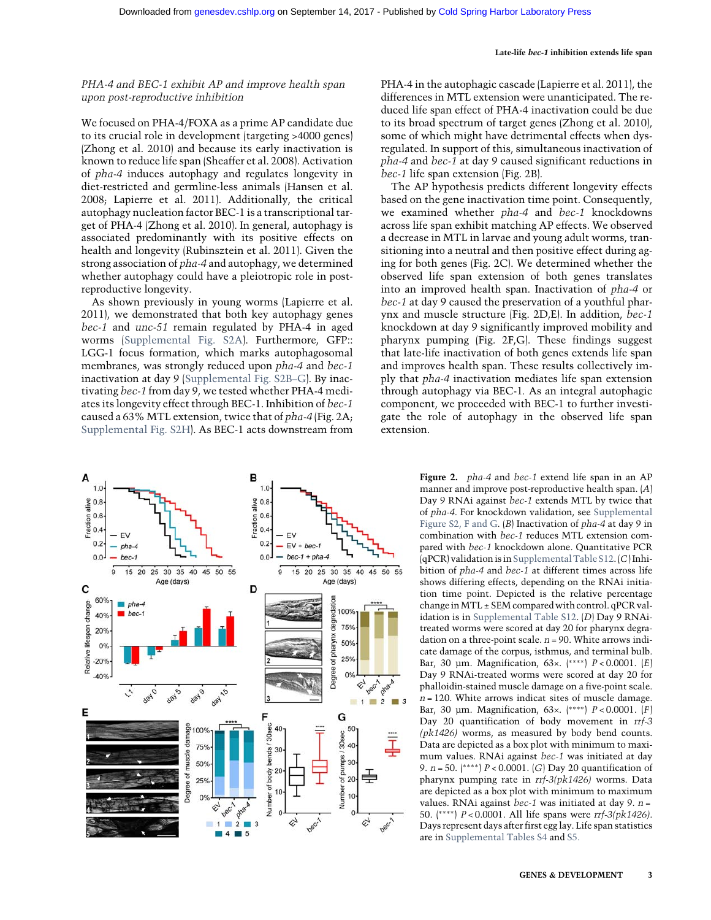#### Late-life bec-1 inhibition extends life span

## PHA-4 and BEC-1 exhibit AP and improve health span upon post-reproductive inhibition

We focused on PHA-4/FOXA as a prime AP candidate due to its crucial role in development (targeting >4000 genes) (Zhong et al. 2010) and because its early inactivation is known to reduce life span (Sheaffer et al. 2008). Activation of pha-4 induces autophagy and regulates longevity in diet-restricted and germline-less animals (Hansen et al. 2008; Lapierre et al. 2011). Additionally, the critical autophagy nucleation factor BEC-1 is a transcriptional target of PHA-4 (Zhong et al. 2010). In general, autophagy is associated predominantly with its positive effects on health and longevity (Rubinsztein et al. 2011). Given the strong association of pha-4 and autophagy, we determined whether autophagy could have a pleiotropic role in postreproductive longevity.

As shown previously in young worms (Lapierre et al. 2011), we demonstrated that both key autophagy genes bec-1 and unc-51 remain regulated by PHA-4 in aged worms [\(Supplemental Fig. S2A\)](http://genesdev.cshlp.org/lookup/suppl/doi:10.1101/gad.301648.117/-/DC1). Furthermore, GFP:: LGG-1 focus formation, which marks autophagosomal membranes, was strongly reduced upon pha-4 and bec-1 inactivation at day 9 [\(Supplemental Fig. S2B](http://genesdev.cshlp.org/lookup/suppl/doi:10.1101/gad.301648.117/-/DC1)–G). By inactivating bec-1 from day 9, we tested whether PHA-4 mediates its longevity effect through BEC-1. Inhibition of bec-1 caused a 63% MTL extension, twice that of pha-4 (Fig. 2A; [Supplemental Fig. S2H\)](http://genesdev.cshlp.org/lookup/suppl/doi:10.1101/gad.301648.117/-/DC1). As BEC-1 acts downstream from



PHA-4 in the autophagic cascade (Lapierre et al. 2011), the differences in MTL extension were unanticipated. The reduced life span effect of PHA-4 inactivation could be due to its broad spectrum of target genes (Zhong et al. 2010), some of which might have detrimental effects when dysregulated. In support of this, simultaneous inactivation of pha-4 and bec-1 at day 9 caused significant reductions in bec-1 life span extension (Fig. 2B).

The AP hypothesis predicts different longevity effects based on the gene inactivation time point. Consequently, we examined whether pha-4 and bec-1 knockdowns across life span exhibit matching AP effects. We observed a decrease in MTL in larvae and young adult worms, transitioning into a neutral and then positive effect during aging for both genes (Fig. 2C). We determined whether the observed life span extension of both genes translates into an improved health span. Inactivation of pha-4 or bec-1 at day 9 caused the preservation of a youthful pharynx and muscle structure (Fig. 2D,E). In addition, bec-1 knockdown at day 9 significantly improved mobility and pharynx pumping (Fig. 2F,G). These findings suggest that late-life inactivation of both genes extends life span and improves health span. These results collectively imply that pha-4 inactivation mediates life span extension through autophagy via BEC-1. As an integral autophagic component, we proceeded with BEC-1 to further investigate the role of autophagy in the observed life span extension.

> Figure 2. pha-4 and bec-1 extend life span in an AP manner and improve post-reproductive health span. (A) Day 9 RNAi against bec-1 extends MTL by twice that of pha-4. For knockdown validation, see [Supplemental](http://genesdev.cshlp.org/lookup/suppl/doi:10.1101/gad.301648.117/-/DC1) [Figure S2, F and G.](http://genesdev.cshlp.org/lookup/suppl/doi:10.1101/gad.301648.117/-/DC1) (B) Inactivation of pha-4 at day 9 in combination with bec-1 reduces MTL extension compared with bec-1 knockdown alone. Quantitative PCR (qPCR) validation is in [Supplemental Table S12.](http://genesdev.cshlp.org/lookup/suppl/doi:10.1101/gad.301648.117/-/DC1) (C) Inhibition of pha-4 and bec-1 at different times across life shows differing effects, depending on the RNAi initiation time point. Depicted is the relative percentage change inMTL ± SEM compared with control. qPCR validation is in [Supplemental Table S12.](http://genesdev.cshlp.org/lookup/suppl/doi:10.1101/gad.301648.117/-/DC1) (D) Day 9 RNAitreated worms were scored at day 20 for pharynx degradation on a three-point scale.  $n = 90$ . White arrows indicate damage of the corpus, isthmus, and terminal bulb. Bar, 30 µm. Magnification, 63×. (∗∗∗∗) P < 0.0001. (E) Day 9 RNAi-treated worms were scored at day 20 for phalloidin-stained muscle damage on a five-point scale.  $n = 120$ . White arrows indicat sites of muscle damage. Bar, 30 µm. Magnification, 63×. (\*\*\*\*)  $P < 0.0001$ . (F) Day 20 quantification of body movement in rrf-3 (pk1426) worms, as measured by body bend counts. Data are depicted as a box plot with minimum to maximum values. RNAi against bec-1 was initiated at day 9. *n* = 50. (\*\*\*\*) *P* < 0.0001. (*G*) Day 20 quantification of pharynx pumping rate in rrf-3(pk1426) worms. Data are depicted as a box plot with minimum to maximum values. RNAi against *bec-1* was initiated at day 9.  $n =$ 50. (∗∗∗∗) P < 0.0001. All life spans were rrf-3(pk1426). Days represent days after first egg lay. Life span statistics are in [Supplemental Tables S4](http://genesdev.cshlp.org/lookup/suppl/doi:10.1101/gad.301648.117/-/DC1) and [S5.](http://genesdev.cshlp.org/lookup/suppl/doi:10.1101/gad.301648.117/-/DC1)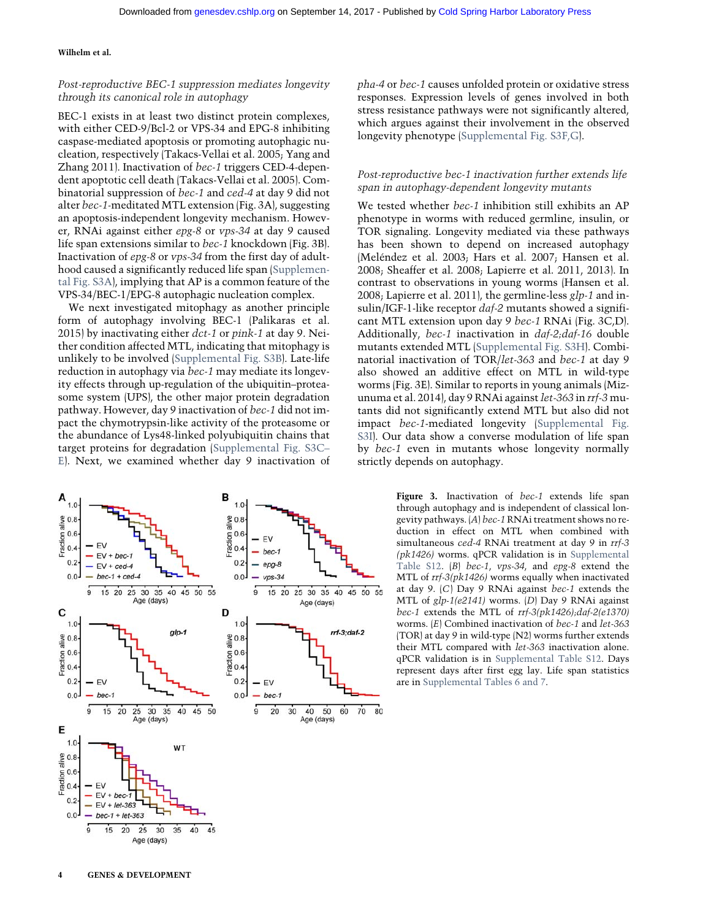## Post-reproductive BEC-1 suppression mediates longevity through its canonical role in autophagy

BEC-1 exists in at least two distinct protein complexes, with either CED-9/Bcl-2 or VPS-34 and EPG-8 inhibiting caspase-mediated apoptosis or promoting autophagic nucleation, respectively (Takacs-Vellai et al. 2005; Yang and Zhang 2011). Inactivation of bec-1 triggers CED-4-dependent apoptotic cell death (Takacs-Vellai et al. 2005). Combinatorial suppression of bec-1 and ced-4 at day 9 did not alter bec-1-meditated MTL extension (Fig. 3A), suggesting an apoptosis-independent longevity mechanism. However, RNAi against either epg-8 or vps-34 at day 9 caused life span extensions similar to bec-1 knockdown (Fig. 3B). Inactivation of epg-8 or vps-34 from the first day of adulthood caused a significantly reduced life span ([Supplemen](http://genesdev.cshlp.org/lookup/suppl/doi:10.1101/gad.301648.117/-/DC1)[tal Fig. S3A\)](http://genesdev.cshlp.org/lookup/suppl/doi:10.1101/gad.301648.117/-/DC1), implying that AP is a common feature of the VPS-34/BEC-1/EPG-8 autophagic nucleation complex.

We next investigated mitophagy as another principle form of autophagy involving BEC-1 (Palikaras et al. 2015) by inactivating either dct-1 or pink-1 at day 9. Neither condition affected MTL, indicating that mitophagy is unlikely to be involved [\(Supplemental Fig. S3B\)](http://genesdev.cshlp.org/lookup/suppl/doi:10.1101/gad.301648.117/-/DC1). Late-life reduction in autophagy via bec-1 may mediate its longevity effects through up-regulation of the ubiquitin–proteasome system (UPS), the other major protein degradation pathway. However, day 9 inactivation of bec-1 did not impact the chymotrypsin-like activity of the proteasome or the abundance of Lys48-linked polyubiquitin chains that target proteins for degradation ([Supplemental Fig. S3C](http://genesdev.cshlp.org/lookup/suppl/doi:10.1101/gad.301648.117/-/DC1)– [E](http://genesdev.cshlp.org/lookup/suppl/doi:10.1101/gad.301648.117/-/DC1)). Next, we examined whether day 9 inactivation of



pha-4 or bec-1 causes unfolded protein or oxidative stress responses. Expression levels of genes involved in both stress resistance pathways were not significantly altered, which argues against their involvement in the observed longevity phenotype [\(Supplemental Fig. S3F,G\)](http://genesdev.cshlp.org/lookup/suppl/doi:10.1101/gad.301648.117/-/DC1).

## Post-reproductive bec-1 inactivation further extends life span in autophagy-dependent longevity mutants

We tested whether bec-1 inhibition still exhibits an AP phenotype in worms with reduced germline, insulin, or TOR signaling. Longevity mediated via these pathways has been shown to depend on increased autophagy (Meléndez et al. 2003; Hars et al. 2007; Hansen et al. 2008; Sheaffer et al. 2008; Lapierre et al. 2011, 2013). In contrast to observations in young worms (Hansen et al. 2008; Lapierre et al. 2011), the germline-less glp-1 and insulin/IGF-1-like receptor  $daf-2$  mutants showed a significant MTL extension upon day 9 bec-1 RNAi (Fig. 3C,D). Additionally, bec-1 inactivation in daf-2;daf-16 double mutants extended MTL [\(Supplemental Fig. S3H\)](http://genesdev.cshlp.org/lookup/suppl/doi:10.1101/gad.301648.117/-/DC1). Combinatorial inactivation of TOR/let-363 and bec-1 at day 9 also showed an additive effect on MTL in wild-type worms (Fig. 3E). Similar to reports in young animals (Mizunuma et al. 2014), day 9 RNAi against let-363 in rrf-3 mutants did not significantly extend MTL but also did not impact bec-1-mediated longevity ([Supplemental Fig.](http://genesdev.cshlp.org/lookup/suppl/doi:10.1101/gad.301648.117/-/DC1) [S3I\)](http://genesdev.cshlp.org/lookup/suppl/doi:10.1101/gad.301648.117/-/DC1). Our data show a converse modulation of life span by bec-1 even in mutants whose longevity normally strictly depends on autophagy.

> Figure 3. Inactivation of bec-1 extends life span through autophagy and is independent of classical longevity pathways. (A) bec-1 RNAi treatment shows no reduction in effect on MTL when combined with simultaneous ced-4 RNAi treatment at day 9 in rrf-3 (pk1426) worms. qPCR validation is in [Supplemental](http://genesdev.cshlp.org/lookup/suppl/doi:10.1101/gad.301648.117/-/DC1) [Table S12](http://genesdev.cshlp.org/lookup/suppl/doi:10.1101/gad.301648.117/-/DC1). (B) bec-1, vps-34, and epg-8 extend the MTL of rrf-3(pk1426) worms equally when inactivated at day 9. (C) Day 9 RNAi against bec-1 extends the MTL of glp-1(e2141) worms. (D) Day 9 RNAi against bec-1 extends the MTL of rrf-3(pk1426);daf-2(e1370) worms. (E) Combined inactivation of bec-1 and let-363 (TOR) at day 9 in wild-type (N2) worms further extends their MTL compared with let-363 inactivation alone. qPCR validation is in [Supplemental Table S12](http://genesdev.cshlp.org/lookup/suppl/doi:10.1101/gad.301648.117/-/DC1). Days represent days after first egg lay. Life span statistics are in [Supplemental Tables 6 and 7.](http://genesdev.cshlp.org/lookup/suppl/doi:10.1101/gad.301648.117/-/DC1)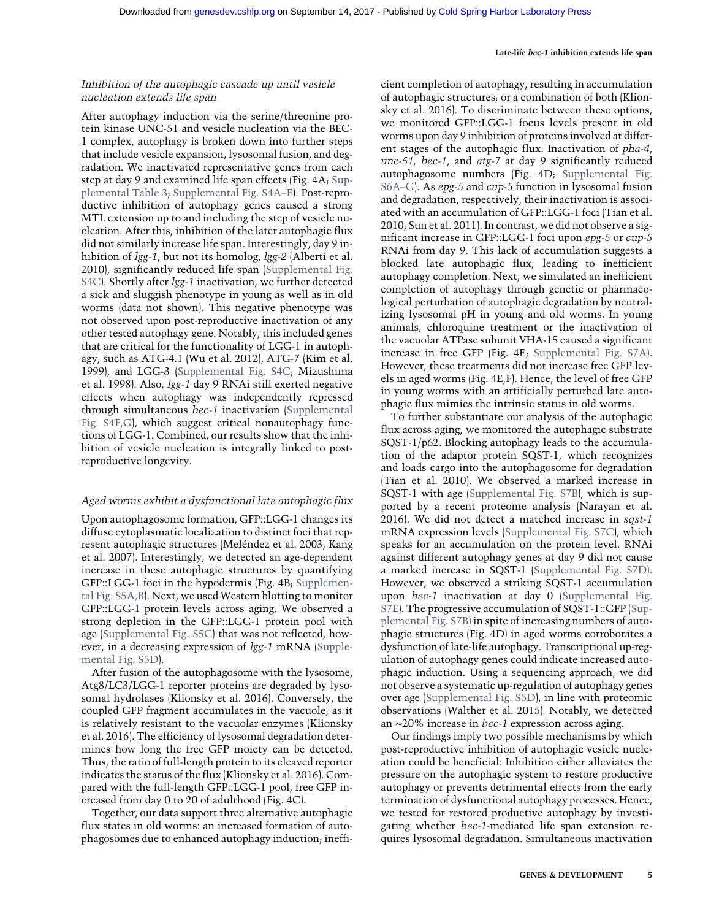#### Late-life bec-1 inhibition extends life span

## Inhibition of the autophagic cascade up until vesicle nucleation extends life span

After autophagy induction via the serine/threonine protein kinase UNC-51 and vesicle nucleation via the BEC-1 complex, autophagy is broken down into further steps that include vesicle expansion, lysosomal fusion, and degradation. We inactivated representative genes from each step at day 9 and examined life span effects (Fig. 4A; [Sup](http://genesdev.cshlp.org/lookup/suppl/doi:10.1101/gad.301648.117/-/DC1)[plemental Table 3](http://genesdev.cshlp.org/lookup/suppl/doi:10.1101/gad.301648.117/-/DC1); [Supplemental Fig. S4A](http://genesdev.cshlp.org/lookup/suppl/doi:10.1101/gad.301648.117/-/DC1)–E). Post-reproductive inhibition of autophagy genes caused a strong MTL extension up to and including the step of vesicle nucleation. After this, inhibition of the later autophagic flux did not similarly increase life span. Interestingly, day 9 inhibition of *lgg-1*, but not its homolog, *lgg-2* (Alberti et al. 2010), significantly reduced life span ([Supplemental Fig.](http://genesdev.cshlp.org/lookup/suppl/doi:10.1101/gad.301648.117/-/DC1) [S4C\)](http://genesdev.cshlp.org/lookup/suppl/doi:10.1101/gad.301648.117/-/DC1). Shortly after lgg-1 inactivation, we further detected a sick and sluggish phenotype in young as well as in old worms (data not shown). This negative phenotype was not observed upon post-reproductive inactivation of any other tested autophagy gene. Notably, this included genes that are critical for the functionality of LGG-1 in autophagy, such as ATG-4.1 (Wu et al. 2012), ATG-7 (Kim et al. 1999), and LGG-3 [\(Supplemental Fig. S4C](http://genesdev.cshlp.org/lookup/suppl/doi:10.1101/gad.301648.117/-/DC1); Mizushima et al. 1998). Also, lgg-1 day 9 RNAi still exerted negative effects when autophagy was independently repressed through simultaneous bec-1 inactivation [\(Supplemental](http://genesdev.cshlp.org/lookup/suppl/doi:10.1101/gad.301648.117/-/DC1) [Fig. S4F,G](http://genesdev.cshlp.org/lookup/suppl/doi:10.1101/gad.301648.117/-/DC1)), which suggest critical nonautophagy functions of LGG-1. Combined, our results show that the inhibition of vesicle nucleation is integrally linked to postreproductive longevity.

## Aged worms exhibit a dysfunctional late autophagic flux

Upon autophagosome formation, GFP::LGG-1 changes its diffuse cytoplasmatic localization to distinct foci that represent autophagic structures (Meléndez et al. 2003; Kang et al. 2007). Interestingly, we detected an age-dependent increase in these autophagic structures by quantifying GFP::LGG-1 foci in the hypodermis (Fig. 4B; [Supplemen](http://genesdev.cshlp.org/lookup/suppl/doi:10.1101/gad.301648.117/-/DC1)[tal Fig. S5A,B\)](http://genesdev.cshlp.org/lookup/suppl/doi:10.1101/gad.301648.117/-/DC1). Next, we used Western blotting to monitor GFP::LGG-1 protein levels across aging. We observed a strong depletion in the GFP::LGG-1 protein pool with age ([Supplemental Fig. S5C\)](http://genesdev.cshlp.org/lookup/suppl/doi:10.1101/gad.301648.117/-/DC1) that was not reflected, however, in a decreasing expression of lgg-1 mRNA [\(Supple](http://genesdev.cshlp.org/lookup/suppl/doi:10.1101/gad.301648.117/-/DC1)[mental Fig. S5D](http://genesdev.cshlp.org/lookup/suppl/doi:10.1101/gad.301648.117/-/DC1)).

After fusion of the autophagosome with the lysosome, Atg8/LC3/LGG-1 reporter proteins are degraded by lysosomal hydrolases (Klionsky et al. 2016). Conversely, the coupled GFP fragment accumulates in the vacuole, as it is relatively resistant to the vacuolar enzymes (Klionsky et al. 2016). The efficiency of lysosomal degradation determines how long the free GFP moiety can be detected. Thus, the ratio of full-length protein to its cleaved reporter indicates the status of the flux (Klionsky et al. 2016). Compared with the full-length GFP::LGG-1 pool, free GFP increased from day 0 to 20 of adulthood (Fig. 4C).

Together, our data support three alternative autophagic flux states in old worms: an increased formation of autophagosomes due to enhanced autophagy induction; inefficient completion of autophagy, resulting in accumulation of autophagic structures; or a combination of both (Klionsky et al. 2016). To discriminate between these options, we monitored GFP::LGG-1 focus levels present in old worms upon day 9 inhibition of proteins involved at different stages of the autophagic flux. Inactivation of pha-4, unc-51, bec-1, and atg-7 at day 9 significantly reduced autophagosome numbers (Fig. 4D; [Supplemental Fig.](http://genesdev.cshlp.org/lookup/suppl/doi:10.1101/gad.301648.117/-/DC1) [S6A](http://genesdev.cshlp.org/lookup/suppl/doi:10.1101/gad.301648.117/-/DC1)–G). As epg-5 and cup-5 function in lysosomal fusion and degradation, respectively, their inactivation is associated with an accumulation of GFP::LGG-1 foci (Tian et al. 2010; Sun et al. 2011). In contrast, we did not observe a significant increase in GFP::LGG-1 foci upon epg-5 or cup-5 RNAi from day 9. This lack of accumulation suggests a blocked late autophagic flux, leading to inefficient autophagy completion. Next, we simulated an inefficient completion of autophagy through genetic or pharmacological perturbation of autophagic degradation by neutralizing lysosomal pH in young and old worms. In young animals, chloroquine treatment or the inactivation of the vacuolar ATPase subunit VHA-15 caused a significant increase in free GFP (Fig. 4E; [Supplemental Fig. S7A](http://genesdev.cshlp.org/lookup/suppl/doi:10.1101/gad.301648.117/-/DC1)). However, these treatments did not increase free GFP levels in aged worms (Fig. 4E,F). Hence, the level of free GFP in young worms with an artificially perturbed late autophagic flux mimics the intrinsic status in old worms.

To further substantiate our analysis of the autophagic flux across aging, we monitored the autophagic substrate SQST-1/p62. Blocking autophagy leads to the accumulation of the adaptor protein SQST-1, which recognizes and loads cargo into the autophagosome for degradation (Tian et al. 2010). We observed a marked increase in SQST-1 with age [\(Supplemental Fig. S7B\)](http://genesdev.cshlp.org/lookup/suppl/doi:10.1101/gad.301648.117/-/DC1), which is supported by a recent proteome analysis (Narayan et al. 2016). We did not detect a matched increase in sqst-1 mRNA expression levels [\(Supplemental Fig. S7C\)](http://genesdev.cshlp.org/lookup/suppl/doi:10.1101/gad.301648.117/-/DC1), which speaks for an accumulation on the protein level. RNAi against different autophagy genes at day 9 did not cause a marked increase in SQST-1 ([Supplemental Fig. S7D](http://genesdev.cshlp.org/lookup/suppl/doi:10.1101/gad.301648.117/-/DC1)). However, we observed a striking SQST-1 accumulation upon bec-1 inactivation at day 0 ([Supplemental Fig.](http://genesdev.cshlp.org/lookup/suppl/doi:10.1101/gad.301648.117/-/DC1) [S7E](http://genesdev.cshlp.org/lookup/suppl/doi:10.1101/gad.301648.117/-/DC1)). The progressive accumulation of SQST-1::GFP ([Sup](http://genesdev.cshlp.org/lookup/suppl/doi:10.1101/gad.301648.117/-/DC1)[plemental Fig. S7B](http://genesdev.cshlp.org/lookup/suppl/doi:10.1101/gad.301648.117/-/DC1)) in spite of increasing numbers of autophagic structures (Fig. 4D) in aged worms corroborates a dysfunction of late-life autophagy. Transcriptional up-regulation of autophagy genes could indicate increased autophagic induction. Using a sequencing approach, we did not observe a systematic up-regulation of autophagy genes over age ([Supplemental Fig. S5D](http://genesdev.cshlp.org/lookup/suppl/doi:10.1101/gad.301648.117/-/DC1)), in line with proteomic observations (Walther et al. 2015). Notably, we detected an ∼20% increase in bec-1 expression across aging.

Our findings imply two possible mechanisms by which post-reproductive inhibition of autophagic vesicle nucleation could be beneficial: Inhibition either alleviates the pressure on the autophagic system to restore productive autophagy or prevents detrimental effects from the early termination of dysfunctional autophagy processes. Hence, we tested for restored productive autophagy by investigating whether bec-1-mediated life span extension requires lysosomal degradation. Simultaneous inactivation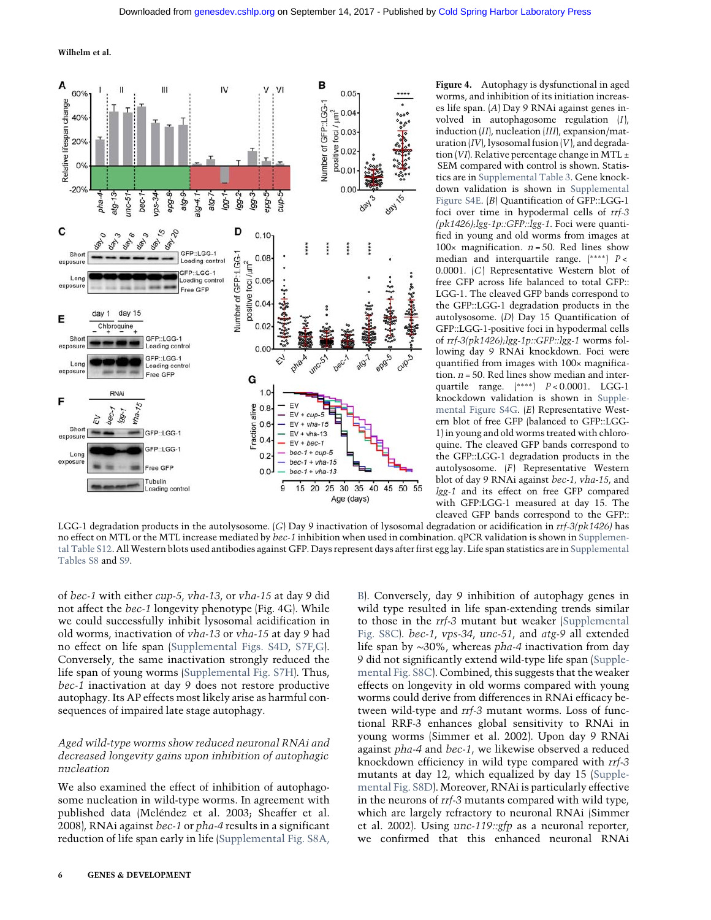

Figure 4. Autophagy is dysfunctional in aged worms, and inhibition of its initiation increases life span. (A) Day 9 RNAi against genes involved in autophagosome regulation (I), induction (II), nucleation (III), expansion/maturation  $(IV)$ , lysosomal fusion  $(V)$ , and degradation (VI). Relative percentage change in MTL  $\pm$ SEM compared with control is shown. Statistics are in [Supplemental Table 3](http://genesdev.cshlp.org/lookup/suppl/doi:10.1101/gad.301648.117/-/DC1). Gene knockdown validation is shown in [Supplemental](http://genesdev.cshlp.org/lookup/suppl/doi:10.1101/gad.301648.117/-/DC1) [Figure S4E](http://genesdev.cshlp.org/lookup/suppl/doi:10.1101/gad.301648.117/-/DC1). (B) Quantification of GFP::LGG-1 foci over time in hypodermal cells of rrf-3  $(pk1426)$ ;  $lgg-1p$ :: $GFP$ :: $lgg-1$ . Foci were quantified in young and old worms from images at 100 $\times$  magnification.  $n = 50$ . Red lines show median and interquartile range. (∗∗∗∗) P < 0.0001. (C) Representative Western blot of free GFP across life balanced to total GFP:: LGG-1. The cleaved GFP bands correspond to the GFP::LGG-1 degradation products in the autolysosome. (D) Day 15 Quantification of GFP::LGG-1-positive foci in hypodermal cells of rrf-3(pk1426);lgg-1p::GFP::lgg-1 worms following day 9 RNAi knockdown. Foci were quantified from images with 100× magnification.  $n = 50$ . Red lines show median and interquartile range. (∗∗∗∗) P < 0.0001. LGG-1 knockdown validation is shown in [Supple](http://genesdev.cshlp.org/lookup/suppl/doi:10.1101/gad.301648.117/-/DC1)[mental Figure S4G.](http://genesdev.cshlp.org/lookup/suppl/doi:10.1101/gad.301648.117/-/DC1) (E) Representative Western blot of free GFP (balanced to GFP::LGG-1) in young and old worms treated with chloroquine. The cleaved GFP bands correspond to the GFP::LGG-1 degradation products in the autolysosome. (F) Representative Western blot of day 9 RNAi against bec-1, vha-15, and lgg-1 and its effect on free GFP compared with GFP:LGG-1 measured at day 15. The cleaved GFP bands correspond to the GFP::

LGG-1 degradation products in the autolysosome. (G) Day 9 inactivation of lysosomal degradation or acidification in rrf-3(pk1426) has no effect on MTL or the MTL increase mediated by bec-1 inhibition when used in combination. qPCR validation is shown in [Supplemen](http://genesdev.cshlp.org/lookup/suppl/doi:10.1101/gad.301648.117/-/DC1)[tal Table S12](http://genesdev.cshlp.org/lookup/suppl/doi:10.1101/gad.301648.117/-/DC1). All Western blots used antibodies against GFP. Days represent days after first egg lay. Life span statistics are in [Supplemental](http://genesdev.cshlp.org/lookup/suppl/doi:10.1101/gad.301648.117/-/DC1) [Tables S8](http://genesdev.cshlp.org/lookup/suppl/doi:10.1101/gad.301648.117/-/DC1) and [S9.](http://genesdev.cshlp.org/lookup/suppl/doi:10.1101/gad.301648.117/-/DC1)

of bec-1 with either cup-5, vha-13, or vha-15 at day 9 did not affect the bec-1 longevity phenotype (Fig. 4G). While we could successfully inhibit lysosomal acidification in old worms, inactivation of vha-13 or vha-15 at day 9 had no effect on life span [\(Supplemental Figs. S4D](http://genesdev.cshlp.org/lookup/suppl/doi:10.1101/gad.301648.117/-/DC1), [S7F](http://genesdev.cshlp.org/lookup/suppl/doi:10.1101/gad.301648.117/-/DC1),[G](http://genesdev.cshlp.org/lookup/suppl/doi:10.1101/gad.301648.117/-/DC1)). Conversely, the same inactivation strongly reduced the life span of young worms ([Supplemental Fig. S7H\)](http://genesdev.cshlp.org/lookup/suppl/doi:10.1101/gad.301648.117/-/DC1). Thus, bec-1 inactivation at day 9 does not restore productive autophagy. Its AP effects most likely arise as harmful consequences of impaired late stage autophagy.

## Aged wild-type worms show reduced neuronal RNAi and decreased longevity gains upon inhibition of autophagic nucleation

We also examined the effect of inhibition of autophagosome nucleation in wild-type worms. In agreement with published data (Meléndez et al. 2003; Sheaffer et al. 2008), RNAi against bec-1 or pha-4 results in a significant reduction of life span early in life ([Supplemental Fig. S8A,](http://genesdev.cshlp.org/lookup/suppl/doi:10.1101/gad.301648.117/-/DC1) [B](http://genesdev.cshlp.org/lookup/suppl/doi:10.1101/gad.301648.117/-/DC1)). Conversely, day 9 inhibition of autophagy genes in wild type resulted in life span-extending trends similar to those in the rrf-3 mutant but weaker [\(Supplemental](http://genesdev.cshlp.org/lookup/suppl/doi:10.1101/gad.301648.117/-/DC1) [Fig. S8C](http://genesdev.cshlp.org/lookup/suppl/doi:10.1101/gad.301648.117/-/DC1)). bec-1, vps-34, unc-51, and atg-9 all extended life span by ∼30%, whereas pha-4 inactivation from day 9 did not significantly extend wild-type life span [\(Supple](http://genesdev.cshlp.org/lookup/suppl/doi:10.1101/gad.301648.117/-/DC1)[mental Fig. S8C](http://genesdev.cshlp.org/lookup/suppl/doi:10.1101/gad.301648.117/-/DC1)). Combined, this suggests that the weaker effects on longevity in old worms compared with young worms could derive from differences in RNAi efficacy between wild-type and rrf-3 mutant worms. Loss of functional RRF-3 enhances global sensitivity to RNAi in young worms (Simmer et al. 2002). Upon day 9 RNAi against pha-4 and bec-1, we likewise observed a reduced knockdown efficiency in wild type compared with rrf-3 mutants at day 12, which equalized by day 15 [\(Supple](http://genesdev.cshlp.org/lookup/suppl/doi:10.1101/gad.301648.117/-/DC1)[mental Fig. S8D\)](http://genesdev.cshlp.org/lookup/suppl/doi:10.1101/gad.301648.117/-/DC1). Moreover, RNAi is particularly effective in the neurons of rrf-3 mutants compared with wild type, which are largely refractory to neuronal RNAi (Simmer et al. 2002). Using unc-119::gfp as a neuronal reporter, we confirmed that this enhanced neuronal RNAi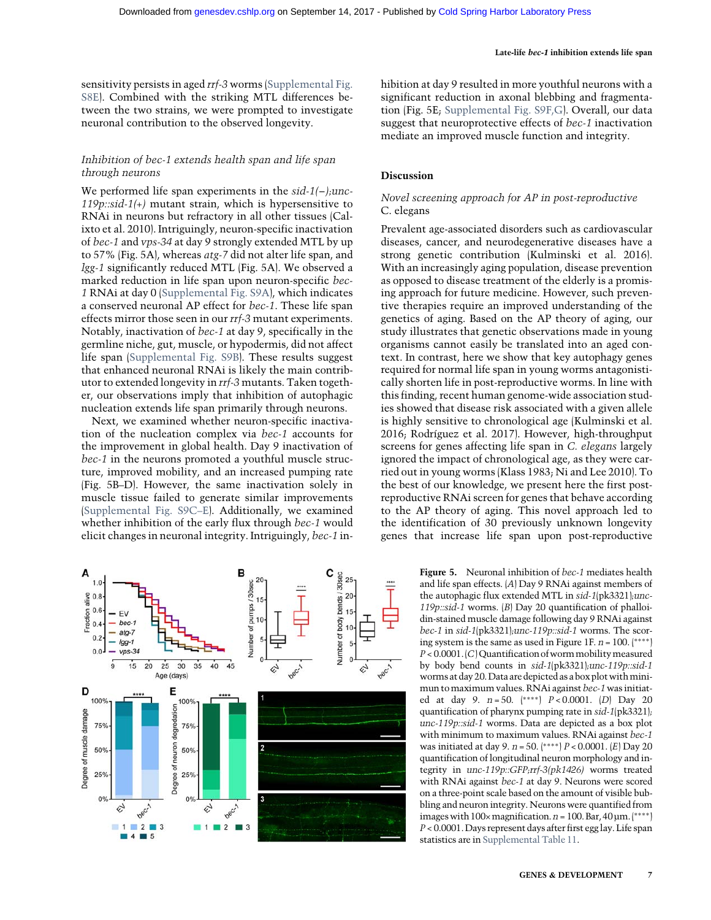sensitivity persists in aged rrf-3 worms [\(Supplemental Fig.](http://genesdev.cshlp.org/lookup/suppl/doi:10.1101/gad.301648.117/-/DC1) [S8E](http://genesdev.cshlp.org/lookup/suppl/doi:10.1101/gad.301648.117/-/DC1)). Combined with the striking MTL differences between the two strains, we were prompted to investigate neuronal contribution to the observed longevity.

## Inhibition of bec-1 extends health span and life span through neurons

We performed life span experiments in the sid-1(−);unc-119p::sid-1(+) mutant strain, which is hypersensitive to RNAi in neurons but refractory in all other tissues (Calixto et al. 2010). Intriguingly, neuron-specific inactivation of bec-1 and vps-34 at day 9 strongly extended MTL by up to 57% (Fig. 5A), whereas atg-7 did not alter life span, and lgg-1 significantly reduced MTL (Fig. 5A). We observed a marked reduction in life span upon neuron-specific bec-1 RNAi at day 0 [\(Supplemental Fig. S9A](http://genesdev.cshlp.org/lookup/suppl/doi:10.1101/gad.301648.117/-/DC1)), which indicates a conserved neuronal AP effect for bec-1. These life span effects mirror those seen in our rrf-3 mutant experiments. Notably, inactivation of bec-1 at day 9, specifically in the germline niche, gut, muscle, or hypodermis, did not affect life span ([Supplemental Fig. S9B\)](http://genesdev.cshlp.org/lookup/suppl/doi:10.1101/gad.301648.117/-/DC1). These results suggest that enhanced neuronal RNAi is likely the main contributor to extended longevity in rrf-3 mutants. Taken together, our observations imply that inhibition of autophagic nucleation extends life span primarily through neurons.

Next, we examined whether neuron-specific inactivation of the nucleation complex via bec-1 accounts for the improvement in global health. Day 9 inactivation of bec-1 in the neurons promoted a youthful muscle structure, improved mobility, and an increased pumping rate (Fig. 5B–D). However, the same inactivation solely in muscle tissue failed to generate similar improvements [\(Supplemental Fig. S9C](http://genesdev.cshlp.org/lookup/suppl/doi:10.1101/gad.301648.117/-/DC1)–E). Additionally, we examined whether inhibition of the early flux through bec-1 would elicit changes in neuronal integrity. Intriguingly, bec-1 in-

![](_page_6_Figure_5.jpeg)

hibition at day 9 resulted in more youthful neurons with a significant reduction in axonal blebbing and fragmentation (Fig. 5E; [Supplemental Fig. S9F,G\)](http://genesdev.cshlp.org/lookup/suppl/doi:10.1101/gad.301648.117/-/DC1). Overall, our data suggest that neuroprotective effects of *bec-1* inactivation mediate an improved muscle function and integrity.

## Discussion

## Novel screening approach for AP in post-reproductive C. elegans

Prevalent age-associated disorders such as cardiovascular diseases, cancer, and neurodegenerative diseases have a strong genetic contribution (Kulminski et al. 2016). With an increasingly aging population, disease prevention as opposed to disease treatment of the elderly is a promising approach for future medicine. However, such preventive therapies require an improved understanding of the genetics of aging. Based on the AP theory of aging, our study illustrates that genetic observations made in young organisms cannot easily be translated into an aged context. In contrast, here we show that key autophagy genes required for normal life span in young worms antagonistically shorten life in post-reproductive worms. In line with this finding, recent human genome-wide association studies showed that disease risk associated with a given allele is highly sensitive to chronological age (Kulminski et al. 2016; Rodríguez et al. 2017). However, high-throughput screens for genes affecting life span in C. elegans largely ignored the impact of chronological age, as they were carried out in young worms (Klass 1983; Ni and Lee 2010). To the best of our knowledge, we present here the first postreproductive RNAi screen for genes that behave according to the AP theory of aging. This novel approach led to the identification of 30 previously unknown longevity genes that increase life span upon post-reproductive

> Figure 5. Neuronal inhibition of *bec-1* mediates health and life span effects. (A) Day 9 RNAi against members of the autophagic flux extended MTL in sid-1(pk3321);unc-119p::sid-1 worms. (B) Day 20 quantification of phalloidin-stained muscle damage following day 9 RNAi against bec-1 in sid-1(pk3321);unc-119p::sid-1 worms. The scoring system is the same as used in Figure 1F.  $n = 100$ . (\*\*\*\*)  $P < 0.0001$ .  $|C|$  Quantification of worm mobility measured by body bend counts in sid-1(pk3321);unc-119p::sid-1 worms at day 20. Data are depicted as a box plot with minimun tomaximum values. RNAi against bec-1 was initiated at day 9. n = 50. (∗∗∗∗) P < 0.0001. (D) Day 20 quantification of pharynx pumping rate in sid-1(pk3321); unc-119p::sid-1 worms. Data are depicted as a box plot with minimum to maximum values. RNAi against bec-1 was initiated at day 9. n = 50. (∗∗∗∗) P < 0.0001. (E) Day 20 quantification of longitudinal neuron morphology and integrity in unc-119p::GFP;rrf-3(pk1426) worms treated with RNAi against bec-1 at day 9. Neurons were scored on a three-point scale based on the amount of visible bubbling and neuron integrity. Neurons were quantified from images with  $100\times$  magnification.  $n = 100$ . Bar,  $40 \mu m.$  (\*\*\*\*) P < 0.0001. Days represent days after first egg lay. Life span statistics are in [Supplemental Table 11](http://genesdev.cshlp.org/lookup/suppl/doi:10.1101/gad.301648.117/-/DC1).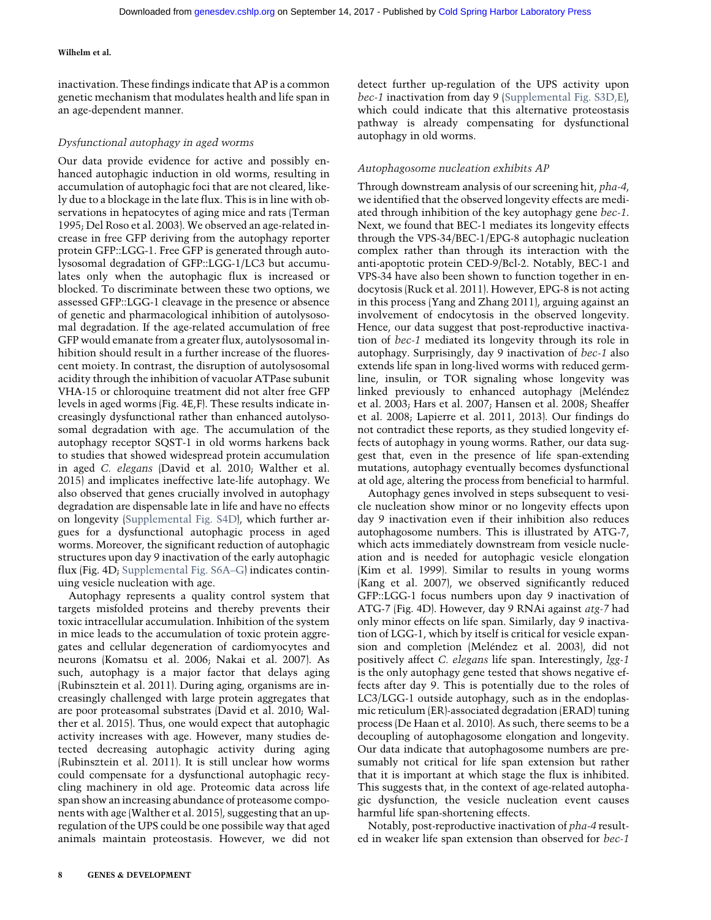inactivation. These findings indicate that AP is a common genetic mechanism that modulates health and life span in an age-dependent manner.

## Dysfunctional autophagy in aged worms

Our data provide evidence for active and possibly enhanced autophagic induction in old worms, resulting in accumulation of autophagic foci that are not cleared, likely due to a blockage in the late flux. This is in line with observations in hepatocytes of aging mice and rats (Terman 1995; Del Roso et al. 2003). We observed an age-related increase in free GFP deriving from the autophagy reporter protein GFP::LGG-1. Free GFP is generated through autolysosomal degradation of GFP::LGG-1/LC3 but accumulates only when the autophagic flux is increased or blocked. To discriminate between these two options, we assessed GFP::LGG-1 cleavage in the presence or absence of genetic and pharmacological inhibition of autolysosomal degradation. If the age-related accumulation of free GFP would emanate from a greater flux, autolysosomal inhibition should result in a further increase of the fluorescent moiety. In contrast, the disruption of autolysosomal acidity through the inhibition of vacuolar ATPase subunit VHA-15 or chloroquine treatment did not alter free GFP levels in aged worms (Fig. 4E,F). These results indicate increasingly dysfunctional rather than enhanced autolysosomal degradation with age. The accumulation of the autophagy receptor SQST-1 in old worms harkens back to studies that showed widespread protein accumulation in aged C. elegans (David et al. 2010; Walther et al. 2015) and implicates ineffective late-life autophagy. We also observed that genes crucially involved in autophagy degradation are dispensable late in life and have no effects on longevity [\(Supplemental Fig. S4D\)](http://genesdev.cshlp.org/lookup/suppl/doi:10.1101/gad.301648.117/-/DC1), which further argues for a dysfunctional autophagic process in aged worms. Moreover, the significant reduction of autophagic structures upon day 9 inactivation of the early autophagic flux (Fig. 4D; [Supplemental Fig. S6A](http://genesdev.cshlp.org/lookup/suppl/doi:10.1101/gad.301648.117/-/DC1)–G) indicates continuing vesicle nucleation with age.

Autophagy represents a quality control system that targets misfolded proteins and thereby prevents their toxic intracellular accumulation. Inhibition of the system in mice leads to the accumulation of toxic protein aggregates and cellular degeneration of cardiomyocytes and neurons (Komatsu et al. 2006; Nakai et al. 2007). As such, autophagy is a major factor that delays aging (Rubinsztein et al. 2011). During aging, organisms are increasingly challenged with large protein aggregates that are poor proteasomal substrates (David et al. 2010; Walther et al. 2015). Thus, one would expect that autophagic activity increases with age. However, many studies detected decreasing autophagic activity during aging (Rubinsztein et al. 2011). It is still unclear how worms could compensate for a dysfunctional autophagic recycling machinery in old age. Proteomic data across life span show an increasing abundance of proteasome components with age (Walther et al. 2015), suggesting that an upregulation of the UPS could be one possibile way that aged animals maintain proteostasis. However, we did not detect further up-regulation of the UPS activity upon bec-1 inactivation from day 9 ([Supplemental Fig. S3D,E](http://genesdev.cshlp.org/lookup/suppl/doi:10.1101/gad.301648.117/-/DC1)), which could indicate that this alternative proteostasis pathway is already compensating for dysfunctional autophagy in old worms.

## Autophagosome nucleation exhibits AP

Through downstream analysis of our screening hit, pha-4, we identified that the observed longevity effects are mediated through inhibition of the key autophagy gene bec-1. Next, we found that BEC-1 mediates its longevity effects through the VPS-34/BEC-1/EPG-8 autophagic nucleation complex rather than through its interaction with the anti-apoptotic protein CED-9/Bcl-2. Notably, BEC-1 and VPS-34 have also been shown to function together in endocytosis (Ruck et al. 2011). However, EPG-8 is not acting in this process (Yang and Zhang 2011), arguing against an involvement of endocytosis in the observed longevity. Hence, our data suggest that post-reproductive inactivation of bec-1 mediated its longevity through its role in autophagy. Surprisingly, day 9 inactivation of bec-1 also extends life span in long-lived worms with reduced germline, insulin, or TOR signaling whose longevity was linked previously to enhanced autophagy (Meléndez et al. 2003; Hars et al. 2007; Hansen et al. 2008; Sheaffer et al. 2008; Lapierre et al. 2011, 2013). Our findings do not contradict these reports, as they studied longevity effects of autophagy in young worms. Rather, our data suggest that, even in the presence of life span-extending mutations, autophagy eventually becomes dysfunctional at old age, altering the process from beneficial to harmful.

Autophagy genes involved in steps subsequent to vesicle nucleation show minor or no longevity effects upon day 9 inactivation even if their inhibition also reduces autophagosome numbers. This is illustrated by ATG-7, which acts immediately downstream from vesicle nucleation and is needed for autophagic vesicle elongation (Kim et al. 1999). Similar to results in young worms (Kang et al. 2007), we observed significantly reduced GFP::LGG-1 focus numbers upon day 9 inactivation of ATG-7 (Fig. 4D). However, day 9 RNAi against atg-7 had only minor effects on life span. Similarly, day 9 inactivation of LGG-1, which by itself is critical for vesicle expansion and completion (Meléndez et al. 2003), did not positively affect C. elegans life span. Interestingly, lgg-1 is the only autophagy gene tested that shows negative effects after day 9. This is potentially due to the roles of LC3/LGG-1 outside autophagy, such as in the endoplasmic reticulum (ER)-associated degradation (ERAD) tuning process (De Haan et al. 2010). As such, there seems to be a decoupling of autophagosome elongation and longevity. Our data indicate that autophagosome numbers are presumably not critical for life span extension but rather that it is important at which stage the flux is inhibited. This suggests that, in the context of age-related autophagic dysfunction, the vesicle nucleation event causes harmful life span-shortening effects.

Notably, post-reproductive inactivation of pha-4 resulted in weaker life span extension than observed for bec-1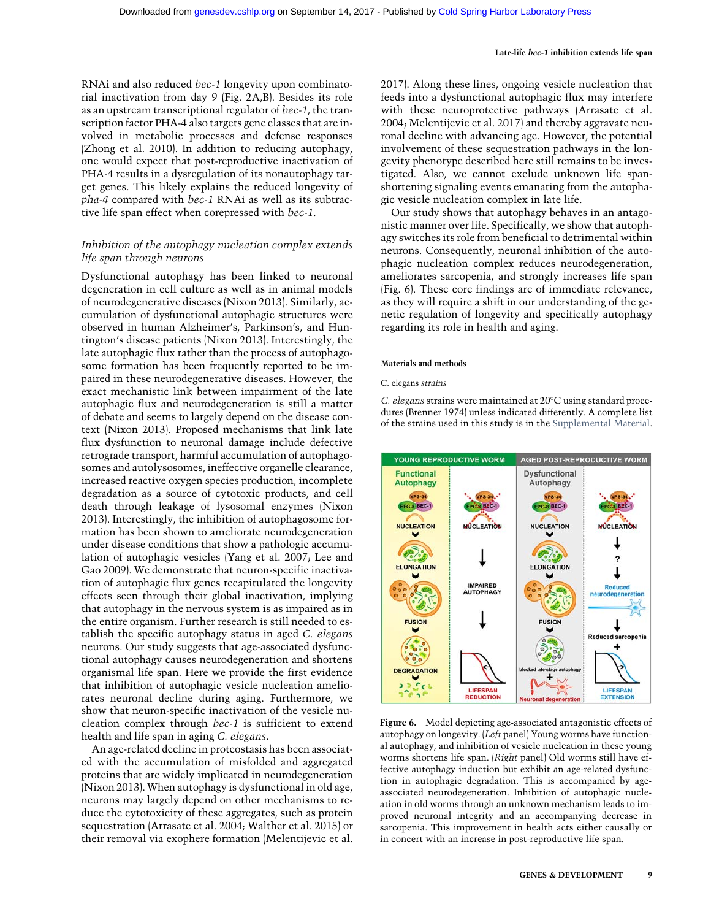RNAi and also reduced bec-1 longevity upon combinatorial inactivation from day 9 (Fig. 2A,B). Besides its role as an upstream transcriptional regulator of bec-1, the transcription factor PHA-4 also targets gene classes that are involved in metabolic processes and defense responses (Zhong et al. 2010). In addition to reducing autophagy, one would expect that post-reproductive inactivation of PHA-4 results in a dysregulation of its nonautophagy target genes. This likely explains the reduced longevity of pha-4 compared with bec-1 RNAi as well as its subtractive life span effect when corepressed with bec-1.

## Inhibition of the autophagy nucleation complex extends life span through neurons

Dysfunctional autophagy has been linked to neuronal degeneration in cell culture as well as in animal models of neurodegenerative diseases (Nixon 2013). Similarly, accumulation of dysfunctional autophagic structures were observed in human Alzheimer's, Parkinson's, and Huntington's disease patients (Nixon 2013). Interestingly, the late autophagic flux rather than the process of autophagosome formation has been frequently reported to be impaired in these neurodegenerative diseases. However, the exact mechanistic link between impairment of the late autophagic flux and neurodegeneration is still a matter of debate and seems to largely depend on the disease context (Nixon 2013). Proposed mechanisms that link late flux dysfunction to neuronal damage include defective retrograde transport, harmful accumulation of autophagosomes and autolysosomes, ineffective organelle clearance, increased reactive oxygen species production, incomplete degradation as a source of cytotoxic products, and cell death through leakage of lysosomal enzymes (Nixon 2013). Interestingly, the inhibition of autophagosome formation has been shown to ameliorate neurodegeneration under disease conditions that show a pathologic accumulation of autophagic vesicles (Yang et al. 2007; Lee and Gao 2009). We demonstrate that neuron-specific inactivation of autophagic flux genes recapitulated the longevity effects seen through their global inactivation, implying that autophagy in the nervous system is as impaired as in the entire organism. Further research is still needed to establish the specific autophagy status in aged C. elegans neurons. Our study suggests that age-associated dysfunctional autophagy causes neurodegeneration and shortens organismal life span. Here we provide the first evidence that inhibition of autophagic vesicle nucleation ameliorates neuronal decline during aging. Furthermore, we show that neuron-specific inactivation of the vesicle nucleation complex through bec-1 is sufficient to extend health and life span in aging C. elegans.

An age-related decline in proteostasis has been associated with the accumulation of misfolded and aggregated proteins that are widely implicated in neurodegeneration (Nixon 2013). When autophagy is dysfunctional in old age, neurons may largely depend on other mechanisms to reduce the cytotoxicity of these aggregates, such as protein sequestration (Arrasate et al. 2004; Walther et al. 2015) or their removal via exophere formation (Melentijevic et al.

2017). Along these lines, ongoing vesicle nucleation that feeds into a dysfunctional autophagic flux may interfere with these neuroprotective pathways (Arrasate et al. 2004; Melentijevic et al. 2017) and thereby aggravate neuronal decline with advancing age. However, the potential involvement of these sequestration pathways in the longevity phenotype described here still remains to be investigated. Also, we cannot exclude unknown life spanshortening signaling events emanating from the autophagic vesicle nucleation complex in late life.

Our study shows that autophagy behaves in an antagonistic manner over life. Specifically, we show that autophagy switches its role from beneficial to detrimental within neurons. Consequently, neuronal inhibition of the autophagic nucleation complex reduces neurodegeneration, ameliorates sarcopenia, and strongly increases life span (Fig. 6). These core findings are of immediate relevance, as they will require a shift in our understanding of the genetic regulation of longevity and specifically autophagy regarding its role in health and aging.

#### Materials and methods

#### C. elegans strains

C. elegans strains were maintained at 20°C using standard procedures (Brenner 1974) unless indicated differently. A complete list of the strains used in this study is in the [Supplemental Material.](http://genesdev.cshlp.org/lookup/suppl/doi:10.1101/gad.301648.117/-/DC1)

![](_page_8_Figure_11.jpeg)

Figure 6. Model depicting age-associated antagonistic effects of autophagy on longevity. (Left panel) Young worms have functional autophagy, and inhibition of vesicle nucleation in these young worms shortens life span. (Right panel) Old worms still have effective autophagy induction but exhibit an age-related dysfunction in autophagic degradation. This is accompanied by ageassociated neurodegeneration. Inhibition of autophagic nucleation in old worms through an unknown mechanism leads to improved neuronal integrity and an accompanying decrease in sarcopenia. This improvement in health acts either causally or in concert with an increase in post-reproductive life span.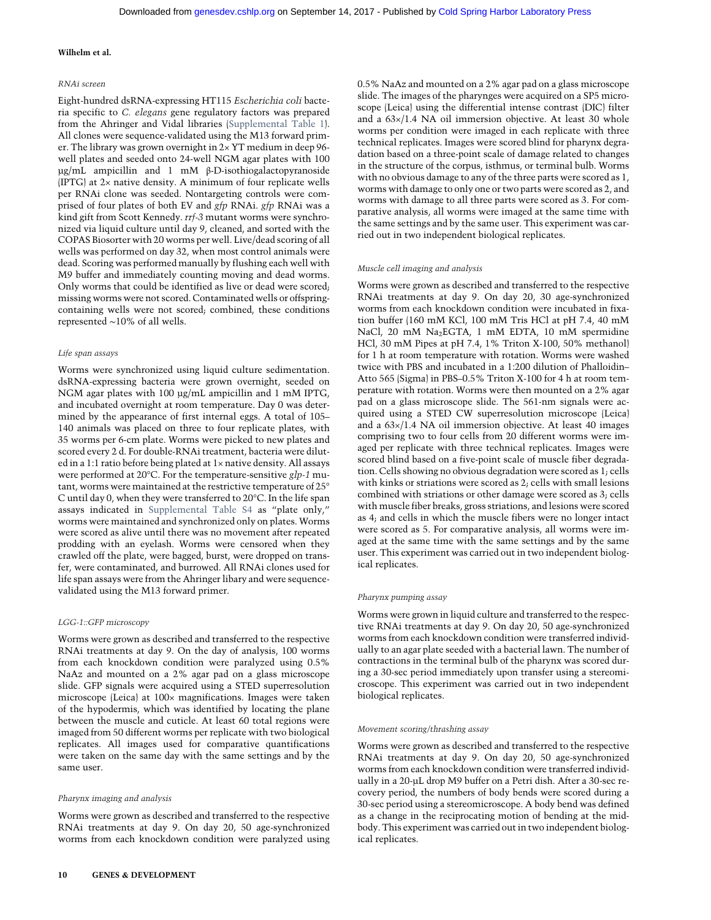#### RNAi screen

Eight-hundred dsRNA-expressing HT115 Escherichia coli bacteria specific to C. elegans gene regulatory factors was prepared from the Ahringer and Vidal libraries [\(Supplemental Table 1\)](http://genesdev.cshlp.org/lookup/suppl/doi:10.1101/gad.301648.117/-/DC1). All clones were sequence-validated using the M13 forward primer. The library was grown overnight in  $2 \times \text{YT}$  medium in deep 96well plates and seeded onto 24-well NGM agar plates with 100 µg/mL ampicillin and 1 mM β-D-isothiogalactopyranoside (IPTG) at 2× native density. A minimum of four replicate wells per RNAi clone was seeded. Nontargeting controls were comprised of four plates of both EV and gfp RNAi. gfp RNAi was a kind gift from Scott Kennedy. rrf-3 mutant worms were synchronized via liquid culture until day 9, cleaned, and sorted with the COPAS Biosorter with 20 worms per well. Live/dead scoring of all wells was performed on day 32, when most control animals were dead. Scoring was performed manually by flushing each well with M9 buffer and immediately counting moving and dead worms. Only worms that could be identified as live or dead were scored; missing worms were not scored. Contaminated wells or offspringcontaining wells were not scored; combined, these conditions represented ∼10% of all wells.

#### Life span assays

Worms were synchronized using liquid culture sedimentation. dsRNA-expressing bacteria were grown overnight, seeded on NGM agar plates with 100 µg/mL ampicillin and 1 mM IPTG, and incubated overnight at room temperature. Day 0 was determined by the appearance of first internal eggs. A total of 105– 140 animals was placed on three to four replicate plates, with 35 worms per 6-cm plate. Worms were picked to new plates and scored every 2 d. For double-RNAi treatment, bacteria were diluted in a 1:1 ratio before being plated at 1× native density. All assays were performed at 20°C. For the temperature-sensitive glp-1 mutant, worms were maintained at the restrictive temperature of 25° C until day 0, when they were transferred to 20°C. In the life span assays indicated in [Supplemental Table S4](http://genesdev.cshlp.org/lookup/suppl/doi:10.1101/gad.301648.117/-/DC1) as "plate only," worms were maintained and synchronized only on plates. Worms were scored as alive until there was no movement after repeated prodding with an eyelash. Worms were censored when they crawled off the plate, were bagged, burst, were dropped on transfer, were contaminated, and burrowed. All RNAi clones used for life span assays were from the Ahringer libary and were sequencevalidated using the M13 forward primer.

#### LGG-1::GFP microscopy

Worms were grown as described and transferred to the respective RNAi treatments at day 9. On the day of analysis, 100 worms from each knockdown condition were paralyzed using 0.5% NaAz and mounted on a 2% agar pad on a glass microscope slide. GFP signals were acquired using a STED superresolution microscope (Leica) at 100× magnifications. Images were taken of the hypodermis, which was identified by locating the plane between the muscle and cuticle. At least 60 total regions were imaged from 50 different worms per replicate with two biological replicates. All images used for comparative quantifications were taken on the same day with the same settings and by the same user.

#### Pharynx imaging and analysis

Worms were grown as described and transferred to the respective RNAi treatments at day 9. On day 20, 50 age-synchronized worms from each knockdown condition were paralyzed using 0.5% NaAz and mounted on a 2% agar pad on a glass microscope slide. The images of the pharynges were acquired on a SP5 microscope (Leica) using the differential intense contrast (DIC) filter and a 63×/1.4 NA oil immersion objective. At least 30 whole worms per condition were imaged in each replicate with three technical replicates. Images were scored blind for pharynx degradation based on a three-point scale of damage related to changes in the structure of the corpus, isthmus, or terminal bulb. Worms with no obvious damage to any of the three parts were scored as 1, worms with damage to only one or two parts were scored as 2, and worms with damage to all three parts were scored as 3. For comparative analysis, all worms were imaged at the same time with the same settings and by the same user. This experiment was carried out in two independent biological replicates.

#### Muscle cell imaging and analysis

Worms were grown as described and transferred to the respective RNAi treatments at day 9. On day 20, 30 age-synchronized worms from each knockdown condition were incubated in fixation buffer (160 mM KCl, 100 mM Tris HCl at pH 7.4, 40 mM NaCl, 20 mM Na<sub>2</sub>EGTA, 1 mM EDTA, 10 mM spermidine HCl, 30 mM Pipes at pH 7.4, 1% Triton X-100, 50% methanol) for 1 h at room temperature with rotation. Worms were washed twice with PBS and incubated in a 1:200 dilution of Phalloidin– Atto 565 (Sigma) in PBS–0.5% Triton X-100 for 4 h at room temperature with rotation. Worms were then mounted on a 2% agar pad on a glass microscope slide. The 561-nm signals were acquired using a STED CW superresolution microscope (Leica) and a 63×/1.4 NA oil immersion objective. At least 40 images comprising two to four cells from 20 different worms were imaged per replicate with three technical replicates. Images were scored blind based on a five-point scale of muscle fiber degradation. Cells showing no obvious degradation were scored as 1; cells with kinks or striations were scored as 2; cells with small lesions combined with striations or other damage were scored as 3; cells with muscle fiber breaks, gross striations, and lesions were scored as 4; and cells in which the muscle fibers were no longer intact were scored as 5. For comparative analysis, all worms were imaged at the same time with the same settings and by the same user. This experiment was carried out in two independent biological replicates.

#### Pharynx pumping assay

Worms were grown in liquid culture and transferred to the respective RNAi treatments at day 9. On day 20, 50 age-synchronized worms from each knockdown condition were transferred individually to an agar plate seeded with a bacterial lawn. The number of contractions in the terminal bulb of the pharynx was scored during a 30-sec period immediately upon transfer using a stereomicroscope. This experiment was carried out in two independent biological replicates.

#### Movement scoring/thrashing assay

Worms were grown as described and transferred to the respective RNAi treatments at day 9. On day 20, 50 age-synchronized worms from each knockdown condition were transferred individually in a 20-µL drop M9 buffer on a Petri dish. After a 30-sec recovery period, the numbers of body bends were scored during a 30-sec period using a stereomicroscope. A body bend was defined as a change in the reciprocating motion of bending at the midbody. This experiment was carried out in two independent biological replicates.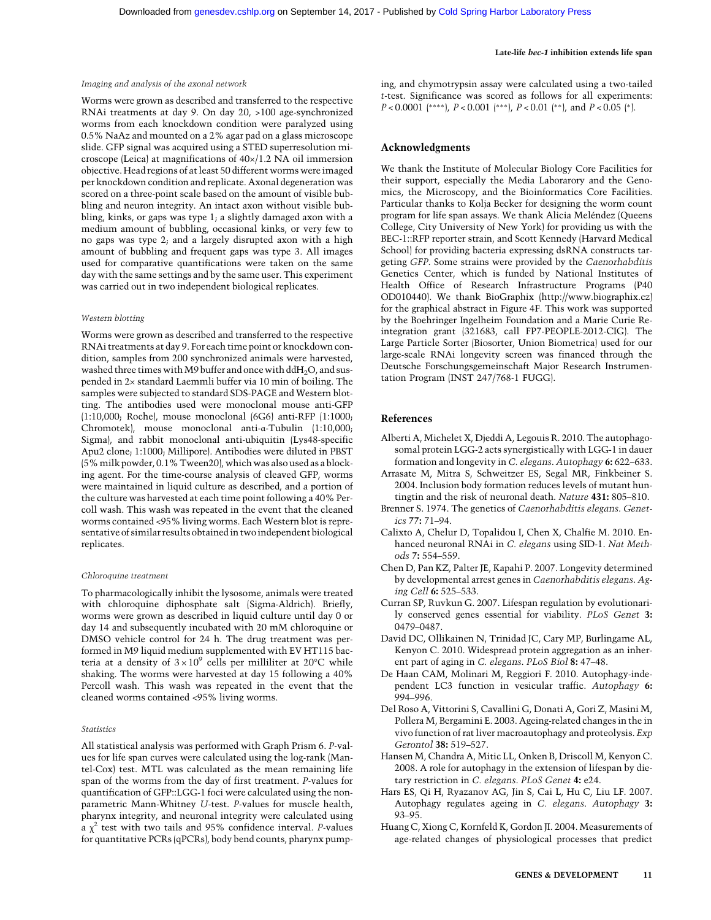#### Imaging and analysis of the axonal network

Worms were grown as described and transferred to the respective RNAi treatments at day 9. On day 20, >100 age-synchronized worms from each knockdown condition were paralyzed using 0.5% NaAz and mounted on a 2% agar pad on a glass microscope slide. GFP signal was acquired using a STED superresolution microscope (Leica) at magnifications of 40×/1.2 NA oil immersion objective. Head regions of at least 50 different worms were imaged per knockdown condition and replicate. Axonal degeneration was scored on a three-point scale based on the amount of visible bubbling and neuron integrity. An intact axon without visible bubbling, kinks, or gaps was type 1; a slightly damaged axon with a medium amount of bubbling, occasional kinks, or very few to no gaps was type 2; and a largely disrupted axon with a high amount of bubbling and frequent gaps was type 3. All images used for comparative quantifications were taken on the same day with the same settings and by the same user. This experiment was carried out in two independent biological replicates.

#### Western blotting

Worms were grown as described and transferred to the respective RNAi treatments at day 9. For each time point or knockdown condition, samples from 200 synchronized animals were harvested, washed three times with M9 buffer and once with ddH<sub>2</sub>O, and suspended in 2× standard Laemmli buffer via 10 min of boiling. The samples were subjected to standard SDS-PAGE and Western blotting. The antibodies used were monoclonal mouse anti-GFP (1:10,000; Roche), mouse monoclonal (6G6) anti-RFP (1:1000; Chromotek), mouse monoclonal anti-α-Tubulin (1:10,000; Sigma), and rabbit monoclonal anti-ubiquitin (Lys48-specific Apu2 clone; 1:1000; Millipore). Antibodies were diluted in PBST (5%milk powder, 0.1% Tween20), which was also used as a blocking agent. For the time-course analysis of cleaved GFP, worms were maintained in liquid culture as described, and a portion of the culture was harvested at each time point following a 40% Percoll wash. This wash was repeated in the event that the cleaned worms contained <95% living worms. Each Western blot is representative of similar results obtained in two independent biological replicates.

#### Chloroquine treatment

To pharmacologically inhibit the lysosome, animals were treated with chloroquine diphosphate salt (Sigma-Aldrich). Briefly, worms were grown as described in liquid culture until day 0 or day 14 and subsequently incubated with 20 mM chloroquine or DMSO vehicle control for 24 h. The drug treatment was performed in M9 liquid medium supplemented with EV HT115 bacteria at a density of  $3 \times 10^9$  cells per milliliter at 20°C while shaking. The worms were harvested at day 15 following a 40% Percoll wash. This wash was repeated in the event that the cleaned worms contained <95% living worms.

#### Statistics

All statistical analysis was performed with Graph Prism 6. P-values for life span curves were calculated using the log-rank (Mantel-Cox) test. MTL was calculated as the mean remaining life span of the worms from the day of first treatment. P-values for quantification of GFP::LGG-1 foci were calculated using the nonparametric Mann-Whitney U-test. P-values for muscle health, pharynx integrity, and neuronal integrity were calculated using a  $\chi^2$  test with two tails and 95% confidence interval. *P*-values for quantitative PCRs (qPCRs), body bend counts, pharynx pump-

#### Late-life bec-1 inhibition extends life span

ing, and chymotrypsin assay were calculated using a two-tailed t-test. Significance was scored as follows for all experiments:  $P < 0.0001$  (\*\*\*\*),  $P < 0.001$  (\*\*\*),  $P < 0.01$  (\*\*), and  $P < 0.05$  (\*).

## Acknowledgments

We thank the Institute of Molecular Biology Core Facilities for their support, especially the Media Laborarory and the Genomics, the Microscopy, and the Bioinformatics Core Facilities. Particular thanks to Kolja Becker for designing the worm count program for life span assays. We thank Alicia Meléndez (Queens College, City University of New York) for providing us with the BEC-1::RFP reporter strain, and Scott Kennedy (Harvard Medical School) for providing bacteria expressing dsRNA constructs targeting GFP. Some strains were provided by the Caenorhabditis Genetics Center, which is funded by National Institutes of Health Office of Research Infrastructure Programs (P40 OD010440). We thank BioGraphix ([http://www.biographix.cz\)](http://www.biographix.cz) for the graphical abstract in Figure 4F. This work was supported by the Boehringer Ingelheim Foundation and a Marie Curie Reintegration grant (321683, call FP7-PEOPLE-2012-CIG). The Large Particle Sorter (Biosorter, Union Biometrica) used for our large-scale RNAi longevity screen was financed through the Deutsche Forschungsgemeinschaft Major Research Instrumentation Program (INST 247/768-1 FUGG).

## References

- Alberti A, Michelet X, Djeddi A, Legouis R. 2010. The autophagosomal protein LGG-2 acts synergistically with LGG-1 in dauer formation and longevity in C. elegans. Autophagy 6: 622–633.
- Arrasate M, Mitra S, Schweitzer ES, Segal MR, Finkbeiner S. 2004. Inclusion body formation reduces levels of mutant huntingtin and the risk of neuronal death. Nature 431: 805–810.
- Brenner S. 1974. The genetics of Caenorhabditis elegans. Genetics 77: 71–94.
- Calixto A, Chelur D, Topalidou I, Chen X, Chalfie M. 2010. Enhanced neuronal RNAi in C. elegans using SID-1. Nat Methods 7: 554–559.
- Chen D, Pan KZ, Palter JE, Kapahi P. 2007. Longevity determined by developmental arrest genes in Caenorhabditis elegans. Aging Cell 6: 525–533.
- Curran SP, Ruvkun G. 2007. Lifespan regulation by evolutionarily conserved genes essential for viability. PLoS Genet 3: 0479–0487.
- David DC, Ollikainen N, Trinidad JC, Cary MP, Burlingame AL, Kenyon C. 2010. Widespread protein aggregation as an inherent part of aging in C. elegans. PLoS Biol 8: 47–48.
- De Haan CAM, Molinari M, Reggiori F. 2010. Autophagy-independent LC3 function in vesicular traffic. Autophagy 6: 994–996.
- Del Roso A, Vittorini S, Cavallini G, Donati A, Gori Z, Masini M, Pollera M, Bergamini E. 2003. Ageing-related changes in the in vivo function of rat liver macroautophagy and proteolysis. Exp Gerontol 38: 519–527.
- Hansen M, Chandra A, Mitic LL, Onken B, Driscoll M, Kenyon C. 2008. A role for autophagy in the extension of lifespan by dietary restriction in C. elegans. PLoS Genet 4: e24.
- Hars ES, Qi H, Ryazanov AG, Jin S, Cai L, Hu C, Liu LF. 2007. Autophagy regulates ageing in C. elegans. Autophagy 3: 93–95.
- Huang C, Xiong C, Kornfeld K, Gordon JI. 2004. Measurements of age-related changes of physiological processes that predict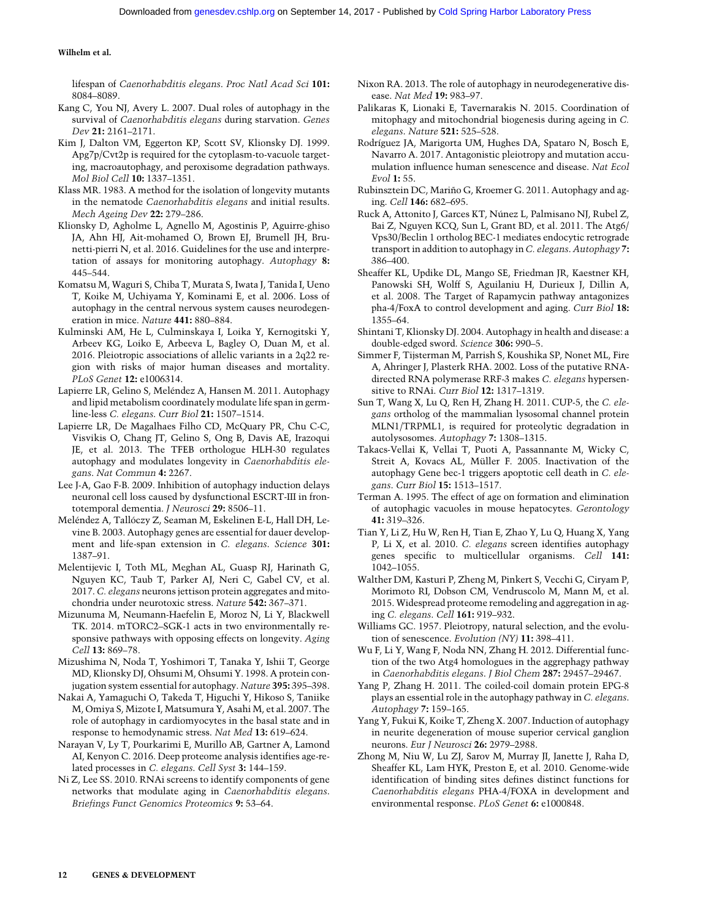lifespan of Caenorhabditis elegans. Proc Natl Acad Sci 101: 8084–8089.

- Kang C, You NJ, Avery L. 2007. Dual roles of autophagy in the survival of Caenorhabditis elegans during starvation. Genes Dev 21: 2161–2171.
- Kim J, Dalton VM, Eggerton KP, Scott SV, Klionsky DJ. 1999. Apg7p/Cvt2p is required for the cytoplasm-to-vacuole targeting, macroautophagy, and peroxisome degradation pathways. Mol Biol Cell 10: 1337–1351.
- Klass MR. 1983. A method for the isolation of longevity mutants in the nematode Caenorhabditis elegans and initial results. Mech Ageing Dev 22: 279–286.
- Klionsky D, Agholme L, Agnello M, Agostinis P, Aguirre-ghiso JA, Ahn HJ, Ait-mohamed O, Brown EJ, Brumell JH, Brunetti-pierri N, et al. 2016. Guidelines for the use and interpretation of assays for monitoring autophagy. Autophagy 8: 445–544.
- Komatsu M, Waguri S, Chiba T, Murata S, Iwata J, Tanida I, Ueno T, Koike M, Uchiyama Y, Kominami E, et al. 2006. Loss of autophagy in the central nervous system causes neurodegeneration in mice. Nature 441: 880–884.
- Kulminski AM, He L, Culminskaya I, Loika Y, Kernogitski Y, Arbeev KG, Loiko E, Arbeeva L, Bagley O, Duan M, et al. 2016. Pleiotropic associations of allelic variants in a 2q22 region with risks of major human diseases and mortality. PLoS Genet 12: e1006314.
- Lapierre LR, Gelino S, Meléndez A, Hansen M. 2011. Autophagy and lipid metabolism coordinately modulate life span in germline-less C. elegans. Curr Biol 21: 1507–1514.
- Lapierre LR, De Magalhaes Filho CD, McQuary PR, Chu C-C, Visvikis O, Chang JT, Gelino S, Ong B, Davis AE, Irazoqui JE, et al. 2013. The TFEB orthologue HLH-30 regulates autophagy and modulates longevity in Caenorhabditis elegans. Nat Commun 4: 2267.
- Lee J-A, Gao F-B. 2009. Inhibition of autophagy induction delays neuronal cell loss caused by dysfunctional ESCRT-III in frontotemporal dementia. J Neurosci 29: 8506–11.
- Meléndez A, Tallóczy Z, Seaman M, Eskelinen E-L, Hall DH, Levine B. 2003. Autophagy genes are essential for dauer development and life-span extension in C. elegans. Science 301: 1387–91.
- Melentijevic I, Toth ML, Meghan AL, Guasp RJ, Harinath G, Nguyen KC, Taub T, Parker AJ, Neri C, Gabel CV, et al. 2017. C. elegans neurons jettison protein aggregates and mitochondria under neurotoxic stress. Nature 542: 367–371.
- Mizunuma M, Neumann-Haefelin E, Moroz N, Li Y, Blackwell TK. 2014. mTORC2–SGK-1 acts in two environmentally responsive pathways with opposing effects on longevity. Aging Cell 13: 869–78.
- Mizushima N, Noda T, Yoshimori T, Tanaka Y, Ishii T, George MD, Klionsky DJ, Ohsumi M, Ohsumi Y. 1998. A protein conjugation system essential for autophagy. Nature 395: 395–398.
- Nakai A, Yamaguchi O, Takeda T, Higuchi Y, Hikoso S, Taniike M, Omiya S, Mizote I, Matsumura Y, Asahi M, et al. 2007. The role of autophagy in cardiomyocytes in the basal state and in response to hemodynamic stress. Nat Med 13: 619–624.
- Narayan V, Ly T, Pourkarimi E, Murillo AB, Gartner A, Lamond AI, Kenyon C. 2016. Deep proteome analysis identifies age-related processes in C. elegans. Cell Syst 3: 144–159.
- Ni Z, Lee SS. 2010. RNAi screens to identify components of gene networks that modulate aging in Caenorhabditis elegans. Briefings Funct Genomics Proteomics 9: 53–64.
- Nixon RA. 2013. The role of autophagy in neurodegenerative disease. Nat Med 19: 983–97.
- Palikaras K, Lionaki E, Tavernarakis N. 2015. Coordination of mitophagy and mitochondrial biogenesis during ageing in C. elegans. Nature 521: 525–528.
- Rodríguez JA, Marigorta UM, Hughes DA, Spataro N, Bosch E, Navarro A. 2017. Antagonistic pleiotropy and mutation accumulation influence human senescence and disease. Nat Ecol Evol 1: 55.
- Rubinsztein DC, Mariño G, Kroemer G. 2011. Autophagy and aging. Cell 146: 682–695.
- Ruck A, Attonito J, Garces KT, Núnez L, Palmisano NJ, Rubel Z, Bai Z, Nguyen KCQ, Sun L, Grant BD, et al. 2011. The Atg6/ Vps30/Beclin 1 ortholog BEC-1 mediates endocytic retrograde transport in addition to autophagy in C. elegans. Autophagy 7: 386–400.
- Sheaffer KL, Updike DL, Mango SE, Friedman JR, Kaestner KH, Panowski SH, Wolff S, Aguilaniu H, Durieux J, Dillin A, et al. 2008. The Target of Rapamycin pathway antagonizes pha-4/FoxA to control development and aging. Curr Biol 18: 1355–64.
- Shintani T, Klionsky DJ. 2004. Autophagy in health and disease: a double-edged sword. Science 306: 990–5.
- Simmer F, Tijsterman M, Parrish S, Koushika SP, Nonet ML, Fire A, Ahringer J, Plasterk RHA. 2002. Loss of the putative RNAdirected RNA polymerase RRF-3 makes C. elegans hypersensitive to RNAi. Curr Biol 12: 1317–1319.
- Sun T, Wang X, Lu Q, Ren H, Zhang H. 2011. CUP-5, the C. elegans ortholog of the mammalian lysosomal channel protein MLN1/TRPML1, is required for proteolytic degradation in autolysosomes. Autophagy 7: 1308–1315.
- Takacs-Vellai K, Vellai T, Puoti A, Passannante M, Wicky C, Streit A, Kovacs AL, Müller F. 2005. Inactivation of the autophagy Gene bec-1 triggers apoptotic cell death in C. elegans. Curr Biol 15: 1513–1517.
- Terman A. 1995. The effect of age on formation and elimination of autophagic vacuoles in mouse hepatocytes. Gerontology 41: 319–326.
- Tian Y, Li Z, Hu W, Ren H, Tian E, Zhao Y, Lu Q, Huang X, Yang P, Li X, et al. 2010. C. elegans screen identifies autophagy genes specific to multicellular organisms. Cell 141: 1042–1055.
- Walther DM, Kasturi P, Zheng M, Pinkert S, Vecchi G, Ciryam P, Morimoto RI, Dobson CM, Vendruscolo M, Mann M, et al. 2015. Widespread proteome remodeling and aggregation in aging C. elegans. Cell 161: 919–932.
- Williams GC. 1957. Pleiotropy, natural selection, and the evolution of senescence. Evolution (NY) 11: 398–411.
- Wu F, Li Y, Wang F, Noda NN, Zhang H. 2012. Differential function of the two Atg4 homologues in the aggrephagy pathway in Caenorhabditis elegans. J Biol Chem 287: 29457–29467.
- Yang P, Zhang H. 2011. The coiled-coil domain protein EPG-8 plays an essential role in the autophagy pathway in C. elegans. Autophagy 7: 159–165.
- Yang Y, Fukui K, Koike T, Zheng X. 2007. Induction of autophagy in neurite degeneration of mouse superior cervical ganglion neurons. Eur J Neurosci 26: 2979–2988.
- Zhong M, Niu W, Lu ZJ, Sarov M, Murray JI, Janette J, Raha D, Sheaffer KL, Lam HYK, Preston E, et al. 2010. Genome-wide identification of binding sites defines distinct functions for Caenorhabditis elegans PHA-4/FOXA in development and environmental response. PLoS Genet 6: e1000848.